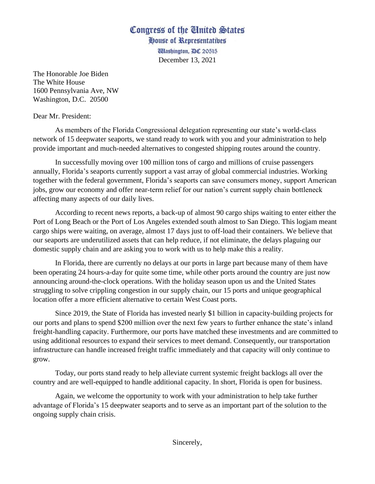## Congress of the United States

House of Representatives **Washington, DC 20515** December 13, 2021

The Honorable Joe Biden The White House 1600 Pennsylvania Ave, NW Washington, D.C. 20500

Dear Mr. President:

As members of the Florida Congressional delegation representing our state's world-class network of 15 deepwater seaports, we stand ready to work with you and your administration to help provide important and much-needed alternatives to congested shipping routes around the country.

In successfully moving over 100 million tons of cargo and millions of cruise passengers annually, Florida's seaports currently support a vast array of global commercial industries. Working together with the federal government, Florida's seaports can save consumers money, support American jobs, grow our economy and offer near-term relief for our nation's current supply chain bottleneck affecting many aspects of our daily lives.

According to recent news reports, a back-up of almost 90 cargo ships waiting to enter either the Port of Long Beach or the Port of Los Angeles extended south almost to San Diego. This logjam meant cargo ships were waiting, on average, almost 17 days just to off-load their containers. We believe that our seaports are underutilized assets that can help reduce, if not eliminate, the delays plaguing our domestic supply chain and are asking you to work with us to help make this a reality.

In Florida, there are currently no delays at our ports in large part because many of them have been operating 24 hours-a-day for quite some time, while other ports around the country are just now announcing around-the-clock operations. With the holiday season upon us and the United States struggling to solve crippling congestion in our supply chain, our 15 ports and unique geographical location offer a more efficient alternative to certain West Coast ports.

Since 2019, the State of Florida has invested nearly \$1 billion in capacity-building projects for our ports and plans to spend \$200 million over the next few years to further enhance the state's inland freight-handling capacity. Furthermore, our ports have matched these investments and are committed to using additional resources to expand their services to meet demand. Consequently, our transportation infrastructure can handle increased freight traffic immediately and that capacity will only continue to grow.

Today, our ports stand ready to help alleviate current systemic freight backlogs all over the country and are well-equipped to handle additional capacity. In short, Florida is open for business.

Again, we welcome the opportunity to work with your administration to help take further advantage of Florida's 15 deepwater seaports and to serve as an important part of the solution to the ongoing supply chain crisis.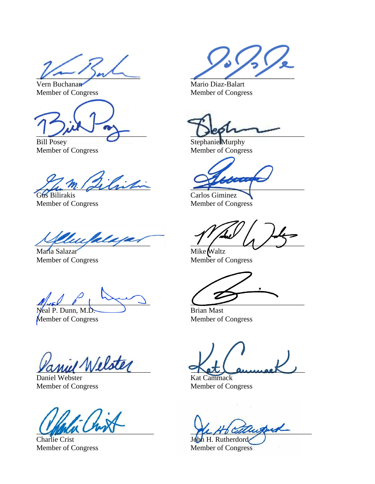$\sqrt{2}$ 

Member of Congress Member of Congress

Bill Posey Stephanie Murphy

Member of Congress Member of Congress

 $\mathcal{L}_{\mathcal{L}}$ 

Gus Bilirakis Carlos Giminez Member of Congress Member of Congress

 $\mathcal{U}_{\mathcal{U}}$  alupar

Maria Salazar Mike Waltz Member of Congress Member of Congress

 $\mathbb{Z}$ 

Neal P. Dunn, M.D. Brian Mast Member of Congress Member of Congress

 $\sqrt{N}$ elster

Daniel Webster Kat Cammack Member of Congress Member of Congress

Charlie Crist John H. Rutherdord

Vern Buchanan Mario Diaz-Balart

 $\bigcup_{\mu \in \Lambda} \bigcup_{\nu \in \Lambda} \bigcup_{\nu \in \Lambda} \bigcup_{\nu \in \Lambda} \bigcup_{\nu \in \Lambda} \bigcup_{\nu \in \Lambda} \bigcup_{\nu \in \Lambda} \bigcup_{\nu \in \Lambda} \bigcup_{\nu \in \Lambda} \bigcup_{\nu \in \Lambda} \bigcup_{\nu \in \Lambda} \bigcup_{\nu \in \Lambda} \bigcup_{\nu \in \Lambda} \bigcup_{\nu \in \Lambda} \bigcup_{\nu \in \Lambda} \bigcup_{\nu \in \Lambda} \bigcup_{\nu \in \Lambda} \bigcup_{\nu \in \Lambda} \bigcup_{\nu \in \Lambda} \bigcup_{\nu \in \Lambda}$ 

when wow and the following the computations

Member of Congress Member of Congress